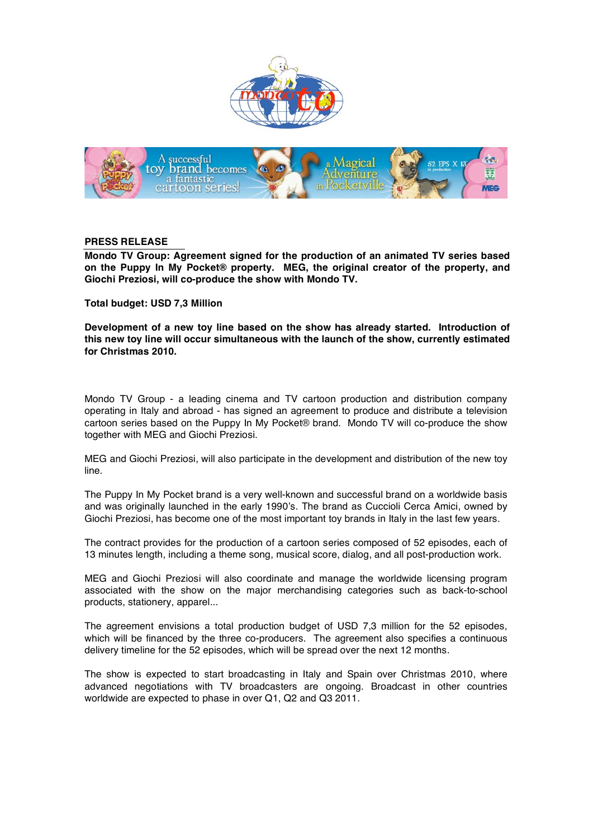



## **PRESS RELEASE**

**Mondo TV Group: Agreement signed for the production of an animated TV series based on the Puppy In My Pocket® property. MEG, the original creator of the property, and Giochi Preziosi, will co-produce the show with Mondo TV.** 

**Total budget: USD 7,3 Million** 

**Development of a new toy line based on the show has already started. Introduction of this new toy line will occur simultaneous with the launch of the show, currently estimated for Christmas 2010.** 

Mondo TV Group - a leading cinema and TV cartoon production and distribution company operating in Italy and abroad - has signed an agreement to produce and distribute a television cartoon series based on the Puppy In My Pocket® brand. Mondo TV will co-produce the show together with MEG and Giochi Preziosi.

MEG and Giochi Preziosi, will also participate in the development and distribution of the new toy line.

The Puppy In My Pocket brand is a very well-known and successful brand on a worldwide basis and was originally launched in the early 1990's. The brand as Cuccioli Cerca Amici, owned by Giochi Preziosi, has become one of the most important toy brands in Italy in the last few years.

The contract provides for the production of a cartoon series composed of 52 episodes, each of 13 minutes length, including a theme song, musical score, dialog, and all post-production work.

MEG and Giochi Preziosi will also coordinate and manage the worldwide licensing program associated with the show on the major merchandising categories such as back-to-school products, stationery, apparel...

The agreement envisions a total production budget of USD 7,3 million for the 52 episodes, which will be financed by the three co-producers. The agreement also specifies a continuous delivery timeline for the 52 episodes, which will be spread over the next 12 months.

The show is expected to start broadcasting in Italy and Spain over Christmas 2010, where advanced negotiations with TV broadcasters are ongoing. Broadcast in other countries worldwide are expected to phase in over Q1, Q2 and Q3 2011.